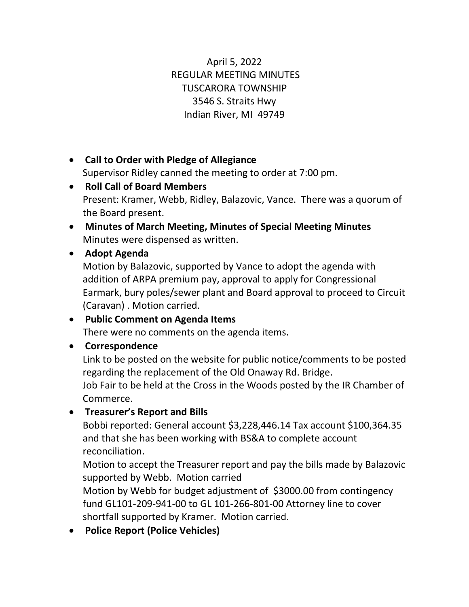April 5, 2022 REGULAR MEETING MINUTES TUSCARORA TOWNSHIP 3546 S. Straits Hwy Indian River, MI 49749

- **Call to Order with Pledge of Allegiance** Supervisor Ridley canned the meeting to order at 7:00 pm.
- **Roll Call of Board Members** Present: Kramer, Webb, Ridley, Balazovic, Vance. There was a quorum of the Board present.
- **Minutes of March Meeting, Minutes of Special Meeting Minutes**  Minutes were dispensed as written.

## • **Adopt Agenda**

Motion by Balazovic, supported by Vance to adopt the agenda with addition of ARPA premium pay, approval to apply for Congressional Earmark, bury poles/sewer plant and Board approval to proceed to Circuit (Caravan) . Motion carried.

#### • **Public Comment on Agenda Items** There were no comments on the agenda items.

## • **Correspondence**

Link to be posted on the website for public notice/comments to be posted regarding the replacement of the Old Onaway Rd. Bridge. Job Fair to be held at the Cross in the Woods posted by the IR Chamber of Commerce.

# • **Treasurer's Report and Bills**

Bobbi reported: General account \$3,228,446.14 Tax account \$100,364.35 and that she has been working with BS&A to complete account reconciliation.

Motion to accept the Treasurer report and pay the bills made by Balazovic supported by Webb. Motion carried

Motion by Webb for budget adjustment of \$3000.00 from contingency fund GL101-209-941-00 to GL 101-266-801-00 Attorney line to cover shortfall supported by Kramer. Motion carried.

• **Police Report (Police Vehicles)**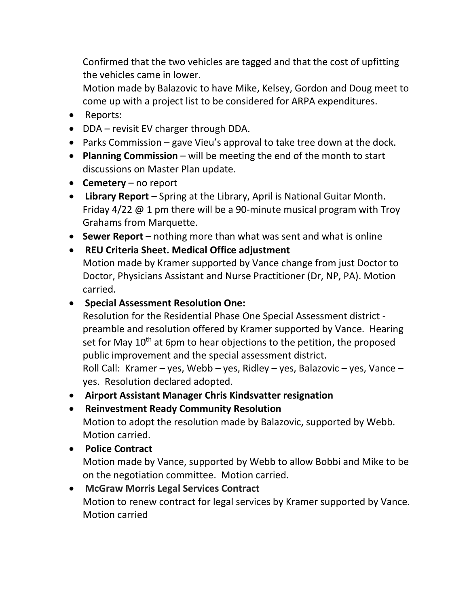Confirmed that the two vehicles are tagged and that the cost of upfitting the vehicles came in lower.

Motion made by Balazovic to have Mike, Kelsey, Gordon and Doug meet to come up with a project list to be considered for ARPA expenditures.

- Reports:
- DDA revisit EV charger through DDA.
- Parks Commission gave Vieu's approval to take tree down at the dock.
- **Planning Commission** will be meeting the end of the month to start discussions on Master Plan update.
- **Cemetery** no report
- **Library Report** Spring at the Library, April is National Guitar Month. Friday 4/22 @ 1 pm there will be a 90-minute musical program with Troy Grahams from Marquette.
- **Sewer Report** nothing more than what was sent and what is online
- **REU Criteria Sheet. Medical Office adjustment** Motion made by Kramer supported by Vance change from just Doctor to Doctor, Physicians Assistant and Nurse Practitioner (Dr, NP, PA). Motion carried.
- **Special Assessment Resolution One:**

Resolution for the Residential Phase One Special Assessment district preamble and resolution offered by Kramer supported by Vance. Hearing set for May 10<sup>th</sup> at 6pm to hear objections to the petition, the proposed public improvement and the special assessment district. Roll Call: Kramer – yes, Webb – yes, Ridley – yes, Balazovic – yes, Vance –

yes. Resolution declared adopted.

- **Airport Assistant Manager Chris Kindsvatter resignation**
- **Reinvestment Ready Community Resolution** Motion to adopt the resolution made by Balazovic, supported by Webb. Motion carried.
- **Police Contract** Motion made by Vance, supported by Webb to allow Bobbi and Mike to be on the negotiation committee. Motion carried.

## • **McGraw Morris Legal Services Contract** Motion to renew contract for legal services by Kramer supported by Vance. Motion carried